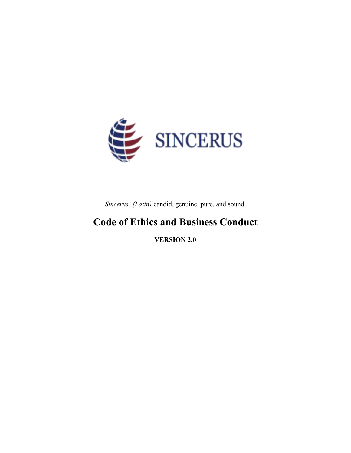

*Sincerus: (Latin)* candid, genuine, pure, and sound.

# **Code of Ethics and Business Conduct**

**VERSION 2.0**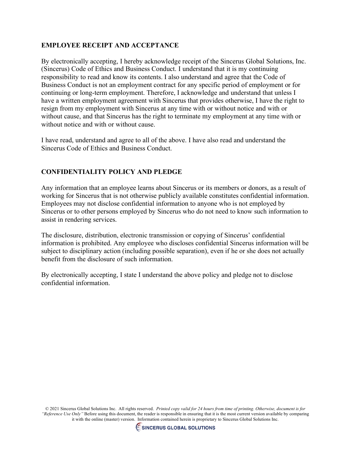# **EMPLOYEE RECEIPT AND ACCEPTANCE**

By electronically accepting, I hereby acknowledge receipt of the Sincerus Global Solutions, Inc. (Sincerus) Code of Ethics and Business Conduct. I understand that it is my continuing responsibility to read and know its contents. I also understand and agree that the Code of Business Conduct is not an employment contract for any specific period of employment or for continuing or long‐term employment. Therefore, I acknowledge and understand that unless I have a written employment agreement with Sincerus that provides otherwise, I have the right to resign from my employment with Sincerus at any time with or without notice and with or without cause, and that Sincerus has the right to terminate my employment at any time with or without notice and with or without cause.

I have read, understand and agree to all of the above. I have also read and understand the Sincerus Code of Ethics and Business Conduct.

## **CONFIDENTIALITY POLICY AND PLEDGE**

Any information that an employee learns about Sincerus or its members or donors, as a result of working for Sincerus that is not otherwise publicly available constitutes confidential information. Employees may not disclose confidential information to anyone who is not employed by Sincerus or to other persons employed by Sincerus who do not need to know such information to assist in rendering services.

The disclosure, distribution, electronic transmission or copying of Sincerus' confidential information is prohibited. Any employee who discloses confidential Sincerus information will be subject to disciplinary action (including possible separation), even if he or she does not actually benefit from the disclosure of such information.

By electronically accepting, I state I understand the above policy and pledge not to disclose confidential information.

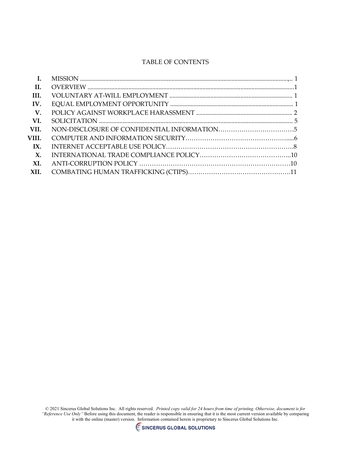## TABLE OF CONTENTS

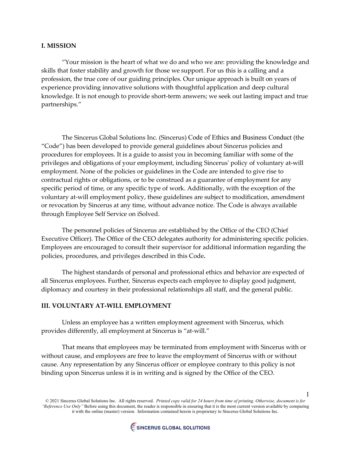#### **I. MISSION**

"Your mission is the heart of what we do and who we are: providing the knowledge and skills that foster stability and growth for those we support. For us this is a calling and a profession, the true core of our guiding principles. Our unique approach is built on years of experience providing innovative solutions with thoughtful application and deep cultural knowledge. It is not enough to provide short-term answers; we seek out lasting impact and true partnerships."

The Sincerus Global Solutions Inc. (Sincerus) Code of Ethics and Business Conduct (the "Code") has been developed to provide general guidelines about Sincerus policies and procedures for employees. It is a guide to assist you in becoming familiar with some of the privileges and obligations of your employment, including Sincerusʹ policy of voluntary at‐will employment. None of the policies or guidelines in the Code are intended to give rise to contractual rights or obligations, or to be construed as a guarantee of employment for any specific period of time, or any specific type of work. Additionally, with the exception of the voluntary at-will employment policy, these guidelines are subject to modification, amendment or revocation by Sincerus at any time, without advance notice. The Code is always available through Employee Self Service on iSolved.

The personnel policies of Sincerus are established by the Office of the CEO (Chief Executive Officer). The Office of the CEO delegates authority for administering specific policies. Employees are encouraged to consult their supervisor for additional information regarding the policies, procedures, and privileges described in this Code**.** 

The highest standards of personal and professional ethics and behavior are expected of all Sincerus employees. Further, Sincerus expects each employee to display good judgment, diplomacy and courtesy in their professional relationships all staff, and the general public.

#### **III. VOLUNTARY AT‐WILL EMPLOYMENT**

Unless an employee has a written employment agreement with Sincerus, which provides differently, all employment at Sincerus is "at-will."

That means that employees may be terminated from employment with Sincerus with or without cause, and employees are free to leave the employment of Sincerus with or without cause. Any representation by any Sincerus officer or employee contrary to this policy is not binding upon Sincerus unless it is in writing and is signed by the Office of the CEO.

© 2021 Sincerus Global Solutions Inc. All rights reserved. *Printed copy valid for 24 hours from time of printing. Otherwise, document is for "Reference Use Only"* Before using this document, the reader is responsible in ensuring that it is the most current version available by comparing it with the online (master) version. Information contained herein is proprietary to Sincerus Global Solutions Inc.

1

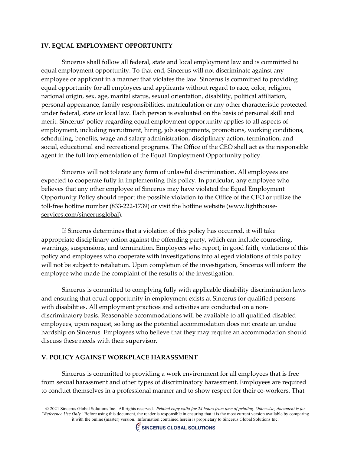## **IV. EQUAL EMPLOYMENT OPPORTUNITY**

Sincerus shall follow all federal, state and local employment law and is committed to equal employment opportunity. To that end, Sincerus will not discriminate against any employee or applicant in a manner that violates the law. Sincerus is committed to providing equal opportunity for all employees and applicants without regard to race, color, religion, national origin, sex, age, marital status, sexual orientation, disability, political affiliation, personal appearance, family responsibilities, matriculation or any other characteristic protected under federal, state or local law. Each person is evaluated on the basis of personal skill and merit. Sincerus' policy regarding equal employment opportunity applies to all aspects of employment, including recruitment, hiring, job assignments, promotions, working conditions, scheduling, benefits, wage and salary administration, disciplinary action, termination, and social, educational and recreational programs. The Office of the CEO shall act as the responsible agent in the full implementation of the Equal Employment Opportunity policy.

Sincerus will not tolerate any form of unlawful discrimination. All employees are expected to cooperate fully in implementing this policy. In particular, any employee who believes that any other employee of Sincerus may have violated the Equal Employment Opportunity Policy should report the possible violation to the Office of the CEO or utilize the toll-free hotline number (833-222-1739) or visit the hotline website [\(www.lighthouse](https://nam10.safelinks.protection.outlook.com/?url=http%3A%2F%2Fwww.lighthouse-services.com%2Fsincerusglobal&data=02%7C01%7CRebecca.Toskey%40sincerusglobal.com%7Cc66920c49cfb4705262d08d7ec6a834c%7C98c25828d8d9490ab8919973e0a28c30%7C1%7C1%7C637237816078247566&sdata=vHYXSKFqaOLejnULx3F%2Fslgqv1TDBO%2Fkv3qSWx4inlw%3D&reserved=0)[services.com/sincerusglobal\)](https://nam10.safelinks.protection.outlook.com/?url=http%3A%2F%2Fwww.lighthouse-services.com%2Fsincerusglobal&data=02%7C01%7CRebecca.Toskey%40sincerusglobal.com%7Cc66920c49cfb4705262d08d7ec6a834c%7C98c25828d8d9490ab8919973e0a28c30%7C1%7C1%7C637237816078247566&sdata=vHYXSKFqaOLejnULx3F%2Fslgqv1TDBO%2Fkv3qSWx4inlw%3D&reserved=0).

If Sincerus determines that a violation of this policy has occurred, it will take appropriate disciplinary action against the offending party, which can include counseling, warnings, suspensions, and termination. Employees who report, in good faith, violations of this policy and employees who cooperate with investigations into alleged violations of this policy will not be subject to retaliation. Upon completion of the investigation, Sincerus will inform the employee who made the complaint of the results of the investigation.

Sincerus is committed to complying fully with applicable disability discrimination laws and ensuring that equal opportunity in employment exists at Sincerus for qualified persons with disabilities. All employment practices and activities are conducted on a nondiscriminatory basis. Reasonable accommodations will be available to all qualified disabled employees, upon request, so long as the potential accommodation does not create an undue hardship on Sincerus. Employees who believe that they may require an accommodation should discuss these needs with their supervisor.

#### **V. POLICY AGAINST WORKPLACE HARASSMENT**

Sincerus is committed to providing a work environment for all employees that is free from sexual harassment and other types of discriminatory harassment. Employees are required to conduct themselves in a professional manner and to show respect for their co-workers. That

<sup>© 2021</sup> Sincerus Global Solutions Inc. All rights reserved. *Printed copy valid for 24 hours from time of printing. Otherwise, document is for "Reference Use Only"* Before using this document, the reader is responsible in ensuring that it is the most current version available by comparing it with the online (master) version. Information contained herein is proprietary to Sincerus Global Solutions Inc.

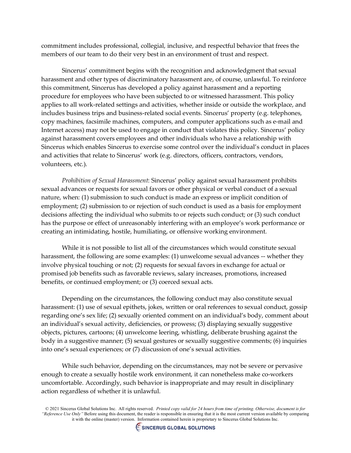commitment includes professional, collegial, inclusive, and respectful behavior that frees the members of our team to do their very best in an environment of trust and respect.

Sincerus' commitment begins with the recognition and acknowledgment that sexual harassment and other types of discriminatory harassment are, of course, unlawful. To reinforce this commitment, Sincerus has developed a policy against harassment and a reporting procedure for employees who have been subjected to or witnessed harassment. This policy applies to all work‐related settings and activities, whether inside or outside the workplace, and includes business trips and business‐related social events. Sincerus' property (e.g. telephones, copy machines, facsimile machines, computers, and computer applications such as e‐mail and Internet access) may not be used to engage in conduct that violates this policy. Sincerus' policy against harassment covers employees and other individuals who have a relationship with Sincerus which enables Sincerus to exercise some control over the individual's conduct in places and activities that relate to Sincerus' work (e.g. directors, officers, contractors, vendors, volunteers, etc.).

*Prohibition of Sexual Harassment*: Sincerus' policy against sexual harassment prohibits sexual advances or requests for sexual favors or other physical or verbal conduct of a sexual nature, when: (1) submission to such conduct is made an express or implicit condition of employment; (2) submission to or rejection of such conduct is used as a basis for employment decisions affecting the individual who submits to or rejects such conduct; or (3) such conduct has the purpose or effect of unreasonably interfering with an employee's work performance or creating an intimidating, hostile, humiliating, or offensive working environment.

While it is not possible to list all of the circumstances which would constitute sexual harassment, the following are some examples: (1) unwelcome sexual advances -- whether they involve physical touching or not; (2) requests for sexual favors in exchange for actual or promised job benefits such as favorable reviews, salary increases, promotions, increased benefits, or continued employment; or (3) coerced sexual acts.

Depending on the circumstances, the following conduct may also constitute sexual harassment: (1) use of sexual epithets, jokes, written or oral references to sexual conduct, gossip regarding one's sex life; (2) sexually oriented comment on an individual's body, comment about an individual's sexual activity, deficiencies, or prowess; (3) displaying sexually suggestive objects, pictures, cartoons; (4) unwelcome leering, whistling, deliberate brushing against the body in a suggestive manner; (5) sexual gestures or sexually suggestive comments; (6) inquiries into one's sexual experiences; or (7) discussion of one's sexual activities.

While such behavior, depending on the circumstances, may not be severe or pervasive enough to create a sexually hostile work environment, it can nonetheless make co-workers uncomfortable. Accordingly, such behavior is inappropriate and may result in disciplinary action regardless of whether it is unlawful.

<sup>© 2021</sup> Sincerus Global Solutions Inc. All rights reserved. *Printed copy valid for 24 hours from time of printing. Otherwise, document is for "Reference Use Only"* Before using this document, the reader is responsible in ensuring that it is the most current version available by comparing it with the online (master) version. Information contained herein is proprietary to Sincerus Global Solutions Inc.

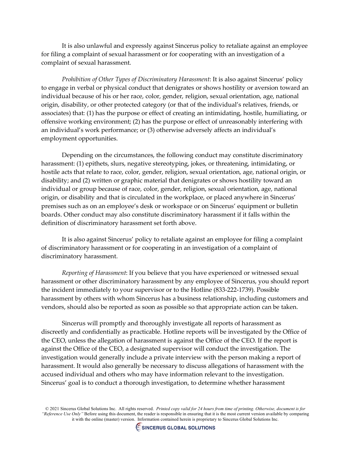It is also unlawful and expressly against Sincerus policy to retaliate against an employee for filing a complaint of sexual harassment or for cooperating with an investigation of a complaint of sexual harassment.

*Prohibition of Other Types of Discriminatory Harassment*: It is also against Sincerus' policy to engage in verbal or physical conduct that denigrates or shows hostility or aversion toward an individual because of his or her race, color, gender, religion, sexual orientation, age, national origin, disability, or other protected category (or that of the individual's relatives, friends, or associates) that: (1) has the purpose or effect of creating an intimidating, hostile, humiliating, or offensive working environment; (2) has the purpose or effect of unreasonably interfering with an individual's work performance; or (3) otherwise adversely affects an individual's employment opportunities.

Depending on the circumstances, the following conduct may constitute discriminatory harassment: (1) epithets, slurs, negative stereotyping, jokes, or threatening, intimidating, or hostile acts that relate to race, color, gender, religion, sexual orientation, age, national origin, or disability; and (2) written or graphic material that denigrates or shows hostility toward an individual or group because of race, color, gender, religion, sexual orientation, age, national origin, or disability and that is circulated in the workplace, or placed anywhere in Sincerus' premises such as on an employee's desk or workspace or on Sincerus' equipment or bulletin boards. Other conduct may also constitute discriminatory harassment if it falls within the definition of discriminatory harassment set forth above.

It is also against Sincerus' policy to retaliate against an employee for filing a complaint of discriminatory harassment or for cooperating in an investigation of a complaint of discriminatory harassment.

*Reporting of Harassment*: If you believe that you have experienced or witnessed sexual harassment or other discriminatory harassment by any employee of Sincerus, you should report the incident immediately to your supervisor or to the Hotline (833-222-1739). Possible harassment by others with whom Sincerus has a business relationship, including customers and vendors, should also be reported as soon as possible so that appropriate action can be taken.

Sincerus will promptly and thoroughly investigate all reports of harassment as discreetly and confidentially as practicable. Hotline reports will be investigated by the Office of the CEO, unless the allegation of harassment is against the Office of the CEO. If the report is against the Office of the CEO, a designated supervisor will conduct the investigation. The investigation would generally include a private interview with the person making a report of harassment. It would also generally be necessary to discuss allegations of harassment with the accused individual and others who may have information relevant to the investigation. Sincerus' goal is to conduct a thorough investigation, to determine whether harassment

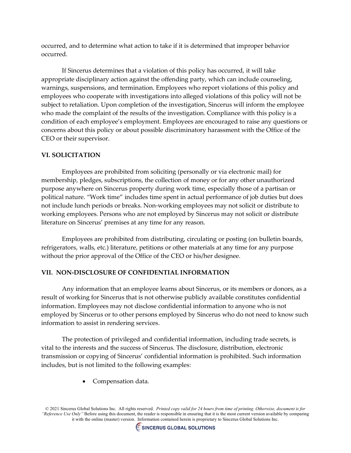occurred, and to determine what action to take if it is determined that improper behavior occurred.

If Sincerus determines that a violation of this policy has occurred, it will take appropriate disciplinary action against the offending party, which can include counseling, warnings, suspensions, and termination. Employees who report violations of this policy and employees who cooperate with investigations into alleged violations of this policy will not be subject to retaliation. Upon completion of the investigation, Sincerus will inform the employee who made the complaint of the results of the investigation. Compliance with this policy is a condition of each employee's employment. Employees are encouraged to raise any questions or concerns about this policy or about possible discriminatory harassment with the Office of the CEO or their supervisor.

#### **VI. SOLICITATION**

Employees are prohibited from soliciting (personally or via electronic mail) for membership, pledges, subscriptions, the collection of money or for any other unauthorized purpose anywhere on Sincerus property during work time, especially those of a partisan or political nature. "Work time" includes time spent in actual performance of job duties but does not include lunch periods or breaks. Non‐working employees may not solicit or distribute to working employees. Persons who are not employed by Sincerus may not solicit or distribute literature on Sincerus' premises at any time for any reason.

Employees are prohibited from distributing, circulating or posting (on bulletin boards, refrigerators, walls, etc.) literature, petitions or other materials at any time for any purpose without the prior approval of the Office of the CEO or his/her designee.

#### **VII. NON‐DISCLOSURE OF CONFIDENTIAL INFORMATION**

Any information that an employee learns about Sincerus, or its members or donors, as a result of working for Sincerus that is not otherwise publicly available constitutes confidential information. Employees may not disclose confidential information to anyone who is not employed by Sincerus or to other persons employed by Sincerus who do not need to know such information to assist in rendering services.

The protection of privileged and confidential information, including trade secrets, is vital to the interests and the success of Sincerus. The disclosure, distribution, electronic transmission or copying of Sincerus' confidential information is prohibited. Such information includes, but is not limited to the following examples:

• Compensation data.

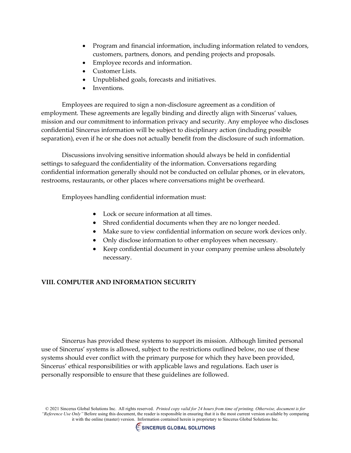- Program and financial information, including information related to vendors, customers, partners, donors, and pending projects and proposals.
- Employee records and information.
- Customer Lists.
- Unpublished goals, forecasts and initiatives.
- Inventions.

Employees are required to sign a non‐disclosure agreement as a condition of employment. These agreements are legally binding and directly align with Sincerus' values, mission and our commitment to information privacy and security. Any employee who discloses confidential Sincerus information will be subject to disciplinary action (including possible separation), even if he or she does not actually benefit from the disclosure of such information.

Discussions involving sensitive information should always be held in confidential settings to safeguard the confidentiality of the information. Conversations regarding confidential information generally should not be conducted on cellular phones, or in elevators, restrooms, restaurants, or other places where conversations might be overheard.

Employees handling confidential information must:

- Lock or secure information at all times.
- Shred confidential documents when they are no longer needed.
- Make sure to view confidential information on secure work devices only.
- Only disclose information to other employees when necessary.
- Keep confidential document in your company premise unless absolutely necessary.

# **VIII. COMPUTER AND INFORMATION SECURITY**

Sincerus has provided these systems to support its mission. Although limited personal use of Sincerus' systems is allowed, subject to the restrictions outlined below, no use of these systems should ever conflict with the primary purpose for which they have been provided, Sincerus' ethical responsibilities or with applicable laws and regulations. Each user is personally responsible to ensure that these guidelines are followed.

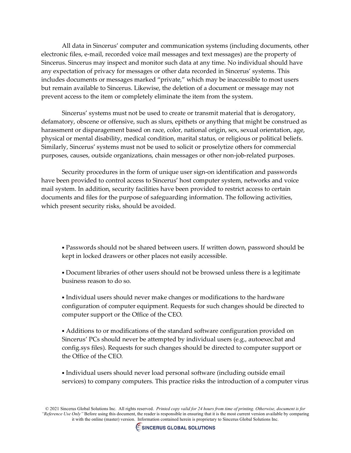All data in Sincerus' computer and communication systems (including documents, other electronic files, e‐mail, recorded voice mail messages and text messages) are the property of Sincerus. Sincerus may inspect and monitor such data at any time. No individual should have any expectation of privacy for messages or other data recorded in Sincerus' systems. This includes documents or messages marked "private," which may be inaccessible to most users but remain available to Sincerus. Likewise, the deletion of a document or message may not prevent access to the item or completely eliminate the item from the system.

Sincerus' systems must not be used to create or transmit material that is derogatory, defamatory, obscene or offensive, such as slurs, epithets or anything that might be construed as harassment or disparagement based on race, color, national origin, sex, sexual orientation, age, physical or mental disability, medical condition, marital status, or religious or political beliefs. Similarly, Sincerus' systems must not be used to solicit or proselytize others for commercial purposes, causes, outside organizations, chain messages or other non‐job‐related purposes.

Security procedures in the form of unique user sign-on identification and passwords have been provided to control access to Sincerus' host computer system, networks and voice mail system. In addition, security facilities have been provided to restrict access to certain documents and files for the purpose of safeguarding information. The following activities, which present security risks, should be avoided.

• Passwords should not be shared between users. If written down, password should be kept in locked drawers or other places not easily accessible.

• Document libraries of other users should not be browsed unless there is a legitimate business reason to do so.

• Individual users should never make changes or modifications to the hardware configuration of computer equipment. Requests for such changes should be directed to computer support or the Office of the CEO.

• Additions to or modifications of the standard software configuration provided on Sincerus' PCs should never be attempted by individual users (e.g., autoexec.bat and config.sys files). Requests for such changes should be directed to computer support or the Office of the CEO.

• Individual users should never load personal software (including outside email services) to company computers. This practice risks the introduction of a computer virus

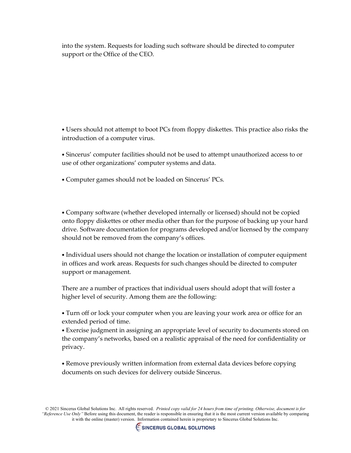into the system. Requests for loading such software should be directed to computer support or the Office of the CEO.

• Users should not attempt to boot PCs from floppy diskettes. This practice also risks the introduction of a computer virus.

• Sincerus' computer facilities should not be used to attempt unauthorized access to or use of other organizations' computer systems and data.

• Computer games should not be loaded on Sincerus' PCs.

• Company software (whether developed internally or licensed) should not be copied onto floppy diskettes or other media other than for the purpose of backing up your hard drive. Software documentation for programs developed and/or licensed by the company should not be removed from the company's offices.

• Individual users should not change the location or installation of computer equipment in offices and work areas. Requests for such changes should be directed to computer support or management.

There are a number of practices that individual users should adopt that will foster a higher level of security. Among them are the following:

• Turn off or lock your computer when you are leaving your work area or office for an extended period of time.

• Exercise judgment in assigning an appropriate level of security to documents stored on the company's networks, based on a realistic appraisal of the need for confidentiality or privacy.

• Remove previously written information from external data devices before copying documents on such devices for delivery outside Sincerus.

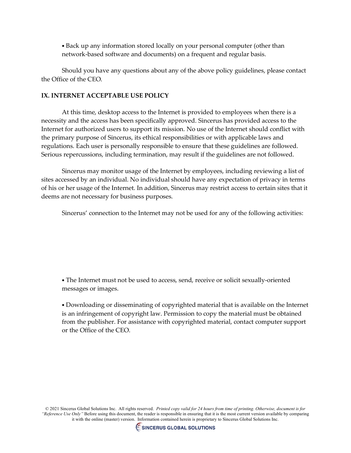• Back up any information stored locally on your personal computer (other than network-based software and documents) on a frequent and regular basis.

Should you have any questions about any of the above policy guidelines, please contact the Office of the CEO.

### **IX. INTERNET ACCEPTABLE USE POLICY**

At this time, desktop access to the Internet is provided to employees when there is a necessity and the access has been specifically approved. Sincerus has provided access to the Internet for authorized users to support its mission. No use of the Internet should conflict with the primary purpose of Sincerus, its ethical responsibilities or with applicable laws and regulations. Each user is personally responsible to ensure that these guidelines are followed. Serious repercussions, including termination, may result if the guidelines are not followed.

Sincerus may monitor usage of the Internet by employees, including reviewing a list of sites accessed by an individual. No individual should have any expectation of privacy in terms of his or her usage of the Internet. In addition, Sincerus may restrict access to certain sites that it deems are not necessary for business purposes.

Sincerus' connection to the Internet may not be used for any of the following activities:

• The Internet must not be used to access, send, receive or solicit sexually‐oriented messages or images.

• Downloading or disseminating of copyrighted material that is available on the Internet is an infringement of copyright law. Permission to copy the material must be obtained from the publisher. For assistance with copyrighted material, contact computer support or the Office of the CEO.

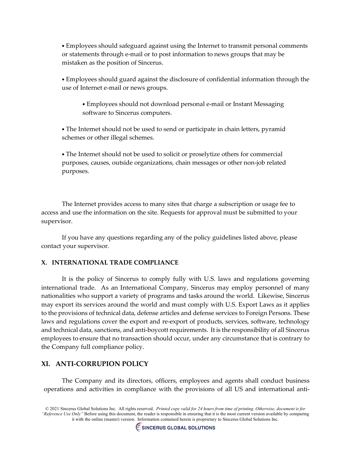• Employees should safeguard against using the Internet to transmit personal comments or statements through e‐mail or to post information to news groups that may be mistaken as the position of Sincerus.

• Employees should guard against the disclosure of confidential information through the use of Internet e‐mail or news groups.

• Employees should not download personal e‐mail or Instant Messaging software to Sincerus computers.

• The Internet should not be used to send or participate in chain letters, pyramid schemes or other illegal schemes.

• The Internet should not be used to solicit or proselytize others for commercial purposes, causes, outside organizations, chain messages or other non‐job related purposes.

The Internet provides access to many sites that charge a subscription or usage fee to access and use the information on the site. Requests for approval must be submitted to your supervisor.

If you have any questions regarding any of the policy guidelines listed above, please contact your supervisor.

# **X. INTERNATIONAL TRADE COMPLIANCE**

It is the policy of Sincerus to comply fully with U.S. laws and regulations governing international trade. As an International Company, Sincerus may employ personnel of many nationalities who support a variety of programs and tasks around the world. Likewise, Sincerus may export its services around the world and must comply with U.S. Export Laws as it applies to the provisions of technical data, defense articles and defense services to Foreign Persons. These laws and regulations cover the export and re-export of products, services, software, technology and technical data, sanctions, and anti-boycott requirements. It is the responsibility of all Sincerus employees to ensure that no transaction should occur, under any circumstance that is contrary to the Company full compliance policy.

# **XI. ANTI-CORRUPION POLICY**

The Company and its directors, officers, employees and agents shall conduct business operations and activities in compliance with the provisions of all US and international anti-

<sup>© 2021</sup> Sincerus Global Solutions Inc. All rights reserved. *Printed copy valid for 24 hours from time of printing. Otherwise, document is for "Reference Use Only"* Before using this document, the reader is responsible in ensuring that it is the most current version available by comparing it with the online (master) version. Information contained herein is proprietary to Sincerus Global Solutions Inc.

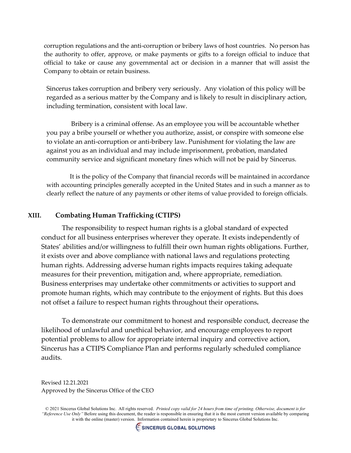corruption regulations and the anti-corruption or bribery laws of host countries. No person has the authority to offer, approve, or make payments or gifts to a foreign official to induce that official to take or cause any governmental act or decision in a manner that will assist the Company to obtain or retain business.

Sincerus takes corruption and bribery very seriously. Any violation of this policy will be regarded as a serious matter by the Company and is likely to result in disciplinary action, including termination, consistent with local law.

 Bribery is a criminal offense. As an employee you will be accountable whether you pay a bribe yourself or whether you authorize, assist, or conspire with someone else to violate an anti-corruption or anti-bribery law. Punishment for violating the law are against you as an individual and may include imprisonment, probation, mandated community service and significant monetary fines which will not be paid by Sincerus.

 It is the policy of the Company that financial records will be maintained in accordance with accounting principles generally accepted in the United States and in such a manner as to clearly reflect the nature of any payments or other items of value provided to foreign officials.

## **XIII. Combating Human Trafficking (CTIPS)**

The responsibility to respect human rights is a global standard of expected conduct for all business enterprises wherever they operate. It exists independently of States' abilities and/or willingness to fulfill their own human rights obligations. Further, it exists over and above compliance with national laws and regulations protecting human rights. Addressing adverse human rights impacts requires taking adequate measures for their prevention, mitigation and, where appropriate, remediation. Business enterprises may undertake other commitments or activities to support and promote human rights, which may contribute to the enjoyment of rights. But this does not offset a failure to respect human rights throughout their operations**.**

To demonstrate our commitment to honest and responsible conduct, decrease the likelihood of unlawful and unethical behavior, and encourage employees to report potential problems to allow for appropriate internal inquiry and corrective action, Sincerus has a CTIPS Compliance Plan and performs regularly scheduled compliance audits.

Revised 12.21.2021 Approved by the Sincerus Office of the CEO